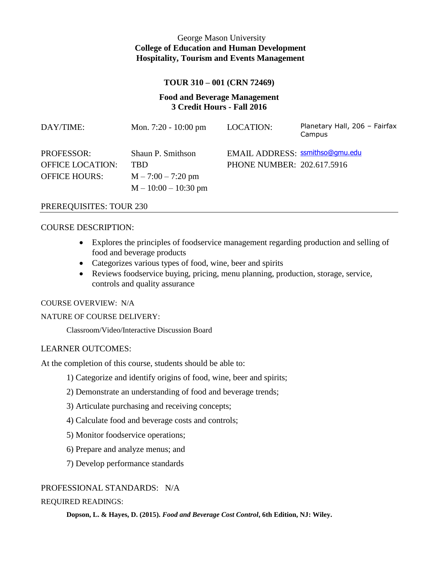# George Mason University **College of Education and Human Development Hospitality, Tourism and Events Management**

### **TOUR 310 – 001 (CRN 72469)**

## **Food and Beverage Management 3 Credit Hours - Fall 2016**

| DAY/TIME:               | Mon. $7:20 - 10:00 \text{ pm}$ | LOCATION:                       | Planetary Hall, 206 - Fairfax<br>Campus |
|-------------------------|--------------------------------|---------------------------------|-----------------------------------------|
| <b>PROFESSOR:</b>       | Shaun P. Smithson              | EMAIL ADDRESS: ssmithso@gmu.edu |                                         |
| <b>OFFICE LOCATION:</b> | <b>TBD</b>                     | PHONE NUMBER: 202.617.5916      |                                         |
| <b>OFFICE HOURS:</b>    | $M - 7:00 - 7:20$ pm           |                                 |                                         |
|                         | $M - 10:00 - 10:30$ pm         |                                 |                                         |

#### PREREQUISITES: TOUR 230

#### COURSE DESCRIPTION:

- Explores the principles of foodservice management regarding production and selling of food and beverage products
- Categorizes various types of food, wine, beer and spirits
- Reviews foodservice buying, pricing, menu planning, production, storage, service, controls and quality assurance

#### COURSE OVERVIEW: N/A

### NATURE OF COURSE DELIVERY:

Classroom/Video/Interactive Discussion Board

#### LEARNER OUTCOMES:

At the completion of this course, students should be able to:

- 1) Categorize and identify origins of food, wine, beer and spirits;
- 2) Demonstrate an understanding of food and beverage trends;
- 3) Articulate purchasing and receiving concepts;
- 4) Calculate food and beverage costs and controls;
- 5) Monitor foodservice operations;
- 6) Prepare and analyze menus; and
- 7) Develop performance standards

### PROFESSIONAL STANDARDS: N/A

#### REQUIRED READINGS:

**Dopson, L. & Hayes, D. (2015).** *Food and Beverage Cost Control***, 6th Edition, NJ: Wiley.**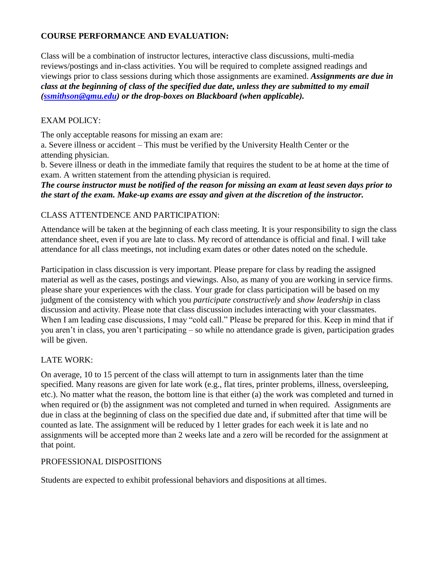## **COURSE PERFORMANCE AND EVALUATION:**

Class will be a combination of instructor lectures, interactive class discussions, multi-media reviews/postings and in-class activities. You will be required to complete assigned readings and viewings prior to class sessions during which those assignments are examined. *Assignments are due in class at the beginning of class of the specified due date, unless they are submitted to my email [\(ssmithson@gmu.edu\)](mailto:ssmithson@gmu.edu) or the drop-boxes on Blackboard (when applicable).*

## EXAM POLICY:

The only acceptable reasons for missing an exam are:

a. Severe illness or accident – This must be verified by the University Health Center or the attending physician.

b. Severe illness or death in the immediate family that requires the student to be at home at the time of exam. A written statement from the attending physician is required.

*The course instructor must be notified of the reason for missing an exam at least seven days prior to the start of the exam. Make-up exams are essay and given at the discretion of the instructor.*

## CLASS ATTENTDENCE AND PARTICIPATION:

Attendance will be taken at the beginning of each class meeting. It is your responsibility to sign the class attendance sheet, even if you are late to class. My record of attendance is official and final. I will take attendance for all class meetings, not including exam dates or other dates noted on the schedule.

Participation in class discussion is very important. Please prepare for class by reading the assigned material as well as the cases, postings and viewings. Also, as many of you are working in service firms. please share your experiences with the class. Your grade for class participation will be based on my judgment of the consistency with which you *participate constructively* and *show leadership* in class discussion and activity. Please note that class discussion includes interacting with your classmates. When I am leading case discussions, I may "cold call." Please be prepared for this. Keep in mind that if you aren't in class, you aren't participating – so while no attendance grade is given, participation grades will be given.

# LATE WORK:

On average, 10 to 15 percent of the class will attempt to turn in assignments later than the time specified. Many reasons are given for late work (e.g., flat tires, printer problems, illness, oversleeping, etc.). No matter what the reason, the bottom line is that either (a) the work was completed and turned in when required or (b) the assignment was not completed and turned in when required. Assignments are due in class at the beginning of class on the specified due date and, if submitted after that time will be counted as late. The assignment will be reduced by 1 letter grades for each week it is late and no assignments will be accepted more than 2 weeks late and a zero will be recorded for the assignment at that point.

## PROFESSIONAL DISPOSITIONS

Students are expected to exhibit professional behaviors and dispositions at alltimes.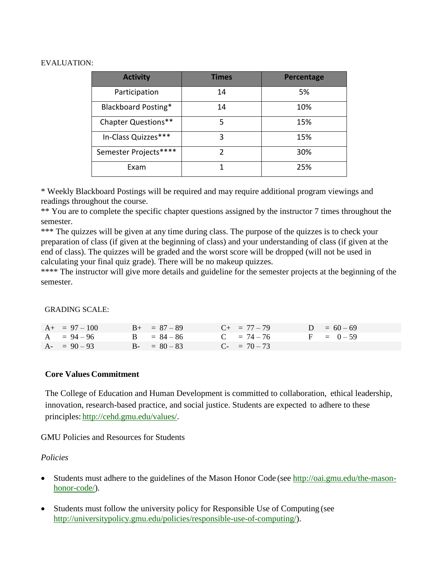### EVALUATION:

| <b>Activity</b>            | <b>Times</b> | Percentage |  |  |
|----------------------------|--------------|------------|--|--|
| Participation              | 14           | 5%         |  |  |
| Blackboard Posting*        | 14           | 10%        |  |  |
| <b>Chapter Questions**</b> | 5            | 15%        |  |  |
| In-Class Quizzes***        | 3            | 15%        |  |  |
| Semester Projects****      | 2            | 30%        |  |  |
| Exam                       |              | 25%        |  |  |

\* Weekly Blackboard Postings will be required and may require additional program viewings and readings throughout the course.

\*\* You are to complete the specific chapter questions assigned by the instructor 7 times throughout the semester.

\*\*\* The quizzes will be given at any time during class. The purpose of the quizzes is to check your preparation of class (if given at the beginning of class) and your understanding of class (if given at the end of class). The quizzes will be graded and the worst score will be dropped (will not be used in calculating your final quiz grade). There will be no makeup quizzes.

\*\*\*\* The instructor will give more details and guideline for the semester projects at the beginning of the semester.

#### GRADING SCALE:

| $A+ = 97 - 100$ | $B_{+} = 87 - 89$ | $C_{+}$ = 77 – 79 | $D = 60 - 69$ |
|-----------------|-------------------|-------------------|---------------|
| $A = 94 - 96$   | $B = 84 - 86$     | $C = 74 - 76$     | $F = 0-59$    |
| $A - 90 - 93$   | $B - = 80 - 83$   | $C_{-} = 70 - 73$ |               |

### **Core Values Commitment**

The College of Education and Human Development is committed to collaboration, ethical leadership, innovation, research-based practice, and social justice. Students are expected to adhere to these principles: [http://cehd.gmu.edu/values/.](http://cehd.gmu.edu/values/)

GMU Policies and Resources for Students

### *Policies*

- Students must adhere to the guidelines of the Mason Honor Code (see [http://oai.gmu.edu/the-mason](http://oai.gmu.edu/the-mason-honor-code/)[honor-code/\)](http://oai.gmu.edu/the-mason-honor-code/).
- Students must follow the university policy for Responsible Use of Computing (see [http://universitypolicy.gmu.edu/policies/responsible-use-of-computing/\)](http://universitypolicy.gmu.edu/policies/responsible-use-of-computing/).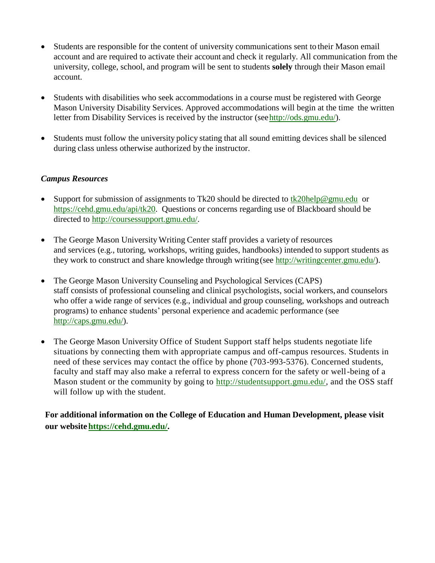- Students are responsible for the content of university communications sent to their Mason email account and are required to activate their account and check it regularly. All communication from the university, college, school, and program will be sent to students **solely** through their Mason email account.
- Students with disabilities who seek accommodations in a course must be registered with George Mason University Disability Services. Approved accommodations will begin at the time the written letter from Disability Services is received by the instructor (se[ehttp://ods.gmu.edu/\)](http://ods.gmu.edu/).
- Students must follow the university policy stating that all sound emitting devices shall be silenced during class unless otherwise authorized by the instructor.

## *Campus Resources*

- Support for submission of assignments to Tk20 should be directed to  $\frac{tk20\text{help@gmu.edu}}{tk20\text{help@gmu.edu}}$  or [https://cehd.gmu.edu/api/tk20.](https://cehd.gmu.edu/api/tk20) Questions or concerns regarding use of Blackboard should be directed to [http://coursessupport.gmu.edu/.](http://coursessupport.gmu.edu/)
- The George Mason University Writing Center staff provides a variety of resources and services (e.g., tutoring, workshops, writing guides, handbooks) intended to support students as they work to construct and share knowledge through writing(see [http://writingcenter.gmu.edu/\)](http://writingcenter.gmu.edu/).
- The George Mason University Counseling and Psychological Services (CAPS) staff consists of professional counseling and clinical psychologists, social workers, and counselors who offer a wide range of services (e.g., individual and group counseling, workshops and outreach programs) to enhance students' personal experience and academic performance (see [http://caps.gmu.edu/\)](http://caps.gmu.edu/).
- The George Mason University Office of Student Support staff helps students negotiate life situations by connecting them with appropriate campus and off-campus resources. Students in need of these services may contact the office by phone (703-993-5376). Concerned students, faculty and staff may also make a referral to express concern for the safety or well-being of a Mason student or the community by going to [http://studentsupport.gmu.edu/,](http://studentsupport.gmu.edu/) and the OSS staff will follow up with the student.

**For additional information on the College of Education and Human Development, please visit our website https://cehd.gmu.edu/.**